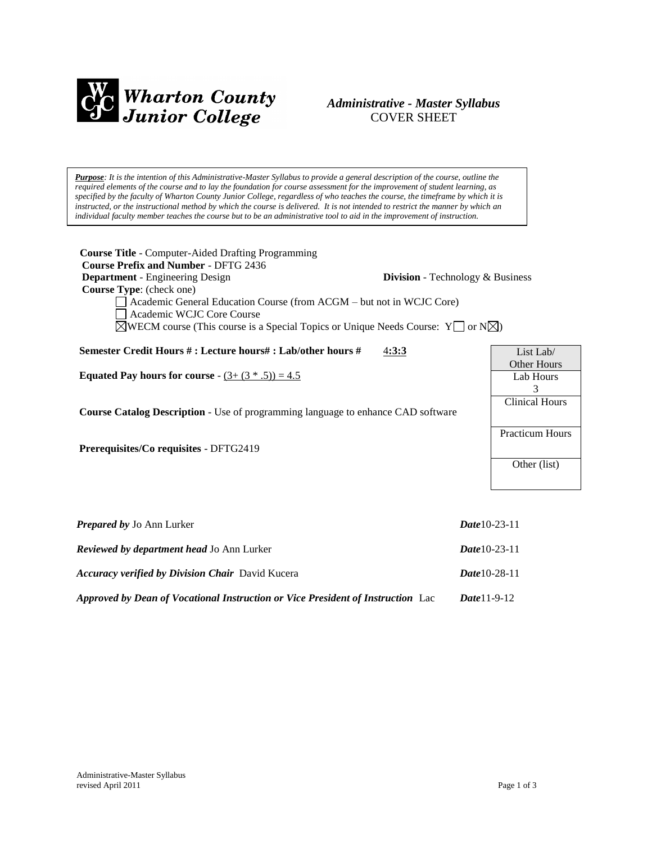

# *Administrative - Master Syllabus*  COVER SHEET

*Purpose: It is the intention of this Administrative-Master Syllabus to provide a general description of the course, outline the required elements of the course and to lay the foundation for course assessment for the improvement of student learning, as specified by the faculty of Wharton County Junior College, regardless of who teaches the course, the timeframe by which it is instructed, or the instructional method by which the course is delivered. It is not intended to restrict the manner by which an individual faculty member teaches the course but to be an administrative tool to aid in the improvement of instruction.*

| <b>Course Title</b> - Computer-Aided Drafting Programming<br><b>Course Prefix and Number - DFTG 2436</b>                                                                                                                                             |                                         |                                 |
|------------------------------------------------------------------------------------------------------------------------------------------------------------------------------------------------------------------------------------------------------|-----------------------------------------|---------------------------------|
| <b>Department</b> - Engineering Design                                                                                                                                                                                                               | <b>Division</b> - Technology & Business |                                 |
| <b>Course Type:</b> (check one)<br>Academic General Education Course (from ACGM - but not in WCJC Core)<br>Academic WCJC Core Course<br>$\boxtimes$ WECM course (This course is a Special Topics or Unique Needs Course: Y $\Box$ or N $\boxtimes$ ) |                                         |                                 |
| Semester Credit Hours # : Lecture hours# : Lab/other hours #                                                                                                                                                                                         | 4:3:3                                   | List Lab/                       |
| <b>Equated Pay hours for course</b> - $(3 + (3 * .5)) = 4.5$                                                                                                                                                                                         |                                         | <b>Other Hours</b><br>Lab Hours |
|                                                                                                                                                                                                                                                      |                                         | 3                               |
| <b>Course Catalog Description</b> - Use of programming language to enhance CAD software                                                                                                                                                              |                                         | <b>Clinical Hours</b>           |
| <b>Prerequisites/Co requisites - DFTG2419</b>                                                                                                                                                                                                        |                                         | <b>Practicum Hours</b>          |
|                                                                                                                                                                                                                                                      |                                         | Other (list)                    |
|                                                                                                                                                                                                                                                      |                                         |                                 |

| <b>Prepared by Jo Ann Lurker</b>                                                | <i>Date</i> 10-23-11 |
|---------------------------------------------------------------------------------|----------------------|
| <b>Reviewed by department head Jo Ann Lurker</b>                                | <i>Date</i> 10-23-11 |
| <b>Accuracy verified by Division Chair</b> David Kucera                         | <i>Date</i> 10-28-11 |
| Approved by Dean of Vocational Instruction or Vice President of Instruction Lac | <b>Date</b> 11-9-12  |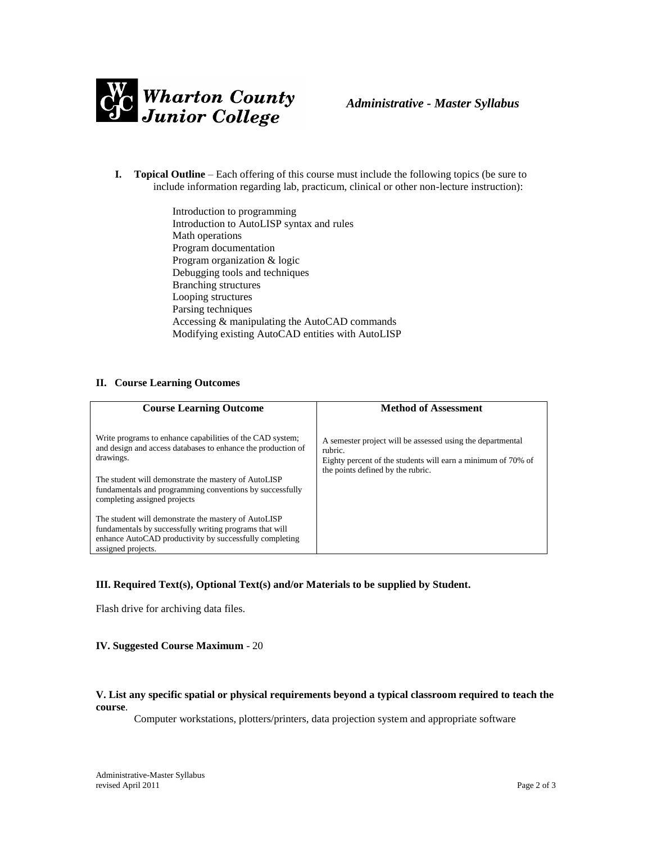

- **I. Topical Outline** Each offering of this course must include the following topics (be sure to include information regarding lab, practicum, clinical or other non-lecture instruction):
	- Introduction to programming Introduction to AutoLISP syntax and rules Math operations Program documentation Program organization & logic Debugging tools and techniques Branching structures Looping structures Parsing techniques Accessing & manipulating the AutoCAD commands Modifying existing AutoCAD entities with AutoLISP

## **II. Course Learning Outcomes**

| <b>Course Learning Outcome</b>                                                                                                                                                                                                                                                             | <b>Method of Assessment</b>                                                                                                                                                |
|--------------------------------------------------------------------------------------------------------------------------------------------------------------------------------------------------------------------------------------------------------------------------------------------|----------------------------------------------------------------------------------------------------------------------------------------------------------------------------|
| Write programs to enhance capabilities of the CAD system;<br>and design and access databases to enhance the production of<br>drawings.<br>The student will demonstrate the mastery of AutoLISP<br>fundamentals and programming conventions by successfully<br>completing assigned projects | A semester project will be assessed using the departmental<br>rubric.<br>Eighty percent of the students will earn a minimum of 70% of<br>the points defined by the rubric. |
| The student will demonstrate the mastery of AutoLISP<br>fundamentals by successfully writing programs that will<br>enhance AutoCAD productivity by successfully completing<br>assigned projects.                                                                                           |                                                                                                                                                                            |

# **III. Required Text(s), Optional Text(s) and/or Materials to be supplied by Student.**

Flash drive for archiving data files.

#### **IV. Suggested Course Maximum** - 20

#### **V. List any specific spatial or physical requirements beyond a typical classroom required to teach the course**.

Computer workstations, plotters/printers, data projection system and appropriate software